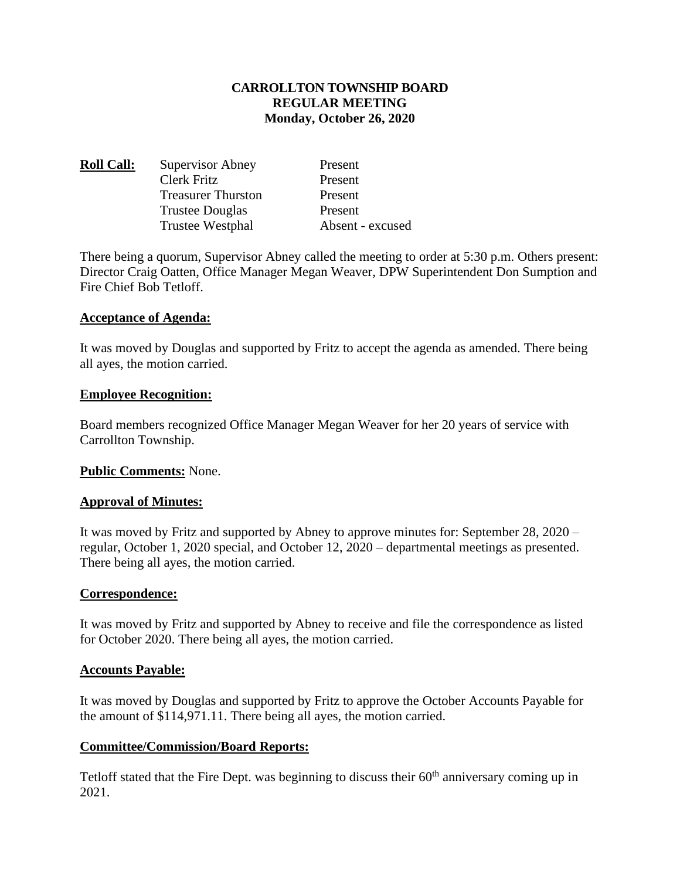# **CARROLLTON TOWNSHIP BOARD REGULAR MEETING Monday, October 26, 2020**

| <b>Roll Call:</b> | Supervisor Abney          | Present          |
|-------------------|---------------------------|------------------|
|                   | Clerk Fritz               | Present          |
|                   | <b>Treasurer Thurston</b> | Present          |
|                   | <b>Trustee Douglas</b>    | Present          |
|                   | <b>Trustee Westphal</b>   | Absent - excused |

There being a quorum, Supervisor Abney called the meeting to order at 5:30 p.m. Others present: Director Craig Oatten, Office Manager Megan Weaver, DPW Superintendent Don Sumption and Fire Chief Bob Tetloff.

#### **Acceptance of Agenda:**

It was moved by Douglas and supported by Fritz to accept the agenda as amended. There being all ayes, the motion carried.

#### **Employee Recognition:**

Board members recognized Office Manager Megan Weaver for her 20 years of service with Carrollton Township.

## **Public Comments:** None.

## **Approval of Minutes:**

It was moved by Fritz and supported by Abney to approve minutes for: September 28, 2020 – regular, October 1, 2020 special, and October 12, 2020 – departmental meetings as presented. There being all ayes, the motion carried.

## **Correspondence:**

It was moved by Fritz and supported by Abney to receive and file the correspondence as listed for October 2020. There being all ayes, the motion carried.

#### **Accounts Payable:**

It was moved by Douglas and supported by Fritz to approve the October Accounts Payable for the amount of \$114,971.11. There being all ayes, the motion carried.

## **Committee/Commission/Board Reports:**

Tetloff stated that the Fire Dept. was beginning to discuss their 60<sup>th</sup> anniversary coming up in 2021.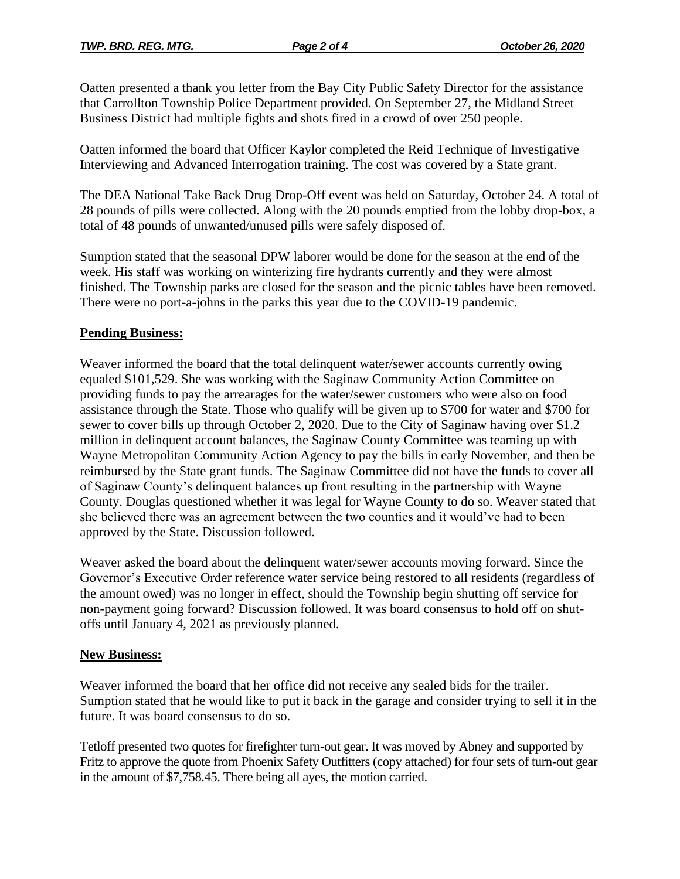Oatten presented a thank you letter from the Bay City Public Safety Director for the assistance that Carrollton Township Police Department provided. On September 27, the Midland Street Business District had multiple fights and shots fired in a crowd of over 250 people.

Oatten informed the board that Officer Kaylor completed the Reid Technique of Investigative Interviewing and Advanced Interrogation training. The cost was covered by a State grant.

The DEA National Take Back Drug Drop-Off event was held on Saturday, October 24. A total of 28 pounds of pills were collected. Along with the 20 pounds emptied from the lobby drop-box, a total of 48 pounds of unwanted/unused pills were safely disposed of.

Sumption stated that the seasonal DPW laborer would be done for the season at the end of the week. His staff was working on winterizing fire hydrants currently and they were almost finished. The Township parks are closed for the season and the picnic tables have been removed. There were no port-a-johns in the parks this year due to the COVID-19 pandemic.

# **Pending Business:**

Weaver informed the board that the total delinquent water/sewer accounts currently owing equaled \$101,529. She was working with the Saginaw Community Action Committee on providing funds to pay the arrearages for the water/sewer customers who were also on food assistance through the State. Those who qualify will be given up to \$700 for water and \$700 for sewer to cover bills up through October 2, 2020. Due to the City of Saginaw having over \$1.2 million in delinquent account balances, the Saginaw County Committee was teaming up with Wayne Metropolitan Community Action Agency to pay the bills in early November, and then be reimbursed by the State grant funds. The Saginaw Committee did not have the funds to cover all of Saginaw County's delinquent balances up front resulting in the partnership with Wayne County. Douglas questioned whether it was legal for Wayne County to do so. Weaver stated that she believed there was an agreement between the two counties and it would've had to been approved by the State. Discussion followed.

Weaver asked the board about the delinquent water/sewer accounts moving forward. Since the Governor's Executive Order reference water service being restored to all residents (regardless of the amount owed) was no longer in effect, should the Township begin shutting off service for non-payment going forward? Discussion followed. It was board consensus to hold off on shutoffs until January 4, 2021 as previously planned.

# **New Business:**

Weaver informed the board that her office did not receive any sealed bids for the trailer. Sumption stated that he would like to put it back in the garage and consider trying to sell it in the future. It was board consensus to do so.

Tetloff presented two quotes for firefighter turn-out gear. It was moved by Abney and supported by Fritz to approve the quote from Phoenix Safety Outfitters (copy attached) for four sets of turn-out gear in the amount of \$7,758.45. There being all ayes, the motion carried.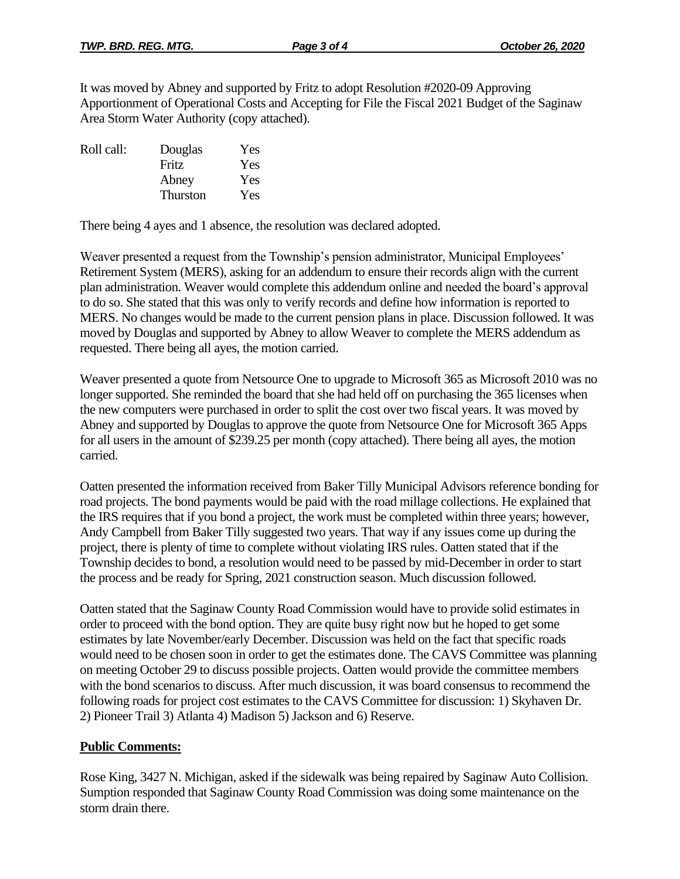It was moved by Abney and supported by Fritz to adopt Resolution #2020-09 Approving Apportionment of Operational Costs and Accepting for File the Fiscal 2021 Budget of the Saginaw Area Storm Water Authority (copy attached).

| Douglas         | Yes |
|-----------------|-----|
| Fritz           | Yes |
| Abney           | Yes |
| <b>Thurston</b> | Yes |
|                 |     |

There being 4 ayes and 1 absence, the resolution was declared adopted.

Weaver presented a request from the Township's pension administrator, Municipal Employees' Retirement System (MERS), asking for an addendum to ensure their records align with the current plan administration. Weaver would complete this addendum online and needed the board's approval to do so. She stated that this was only to verify records and define how information is reported to MERS. No changes would be made to the current pension plans in place. Discussion followed. It was moved by Douglas and supported by Abney to allow Weaver to complete the MERS addendum as requested. There being all ayes, the motion carried.

Weaver presented a quote from Netsource One to upgrade to Microsoft 365 as Microsoft 2010 was no longer supported. She reminded the board that she had held off on purchasing the 365 licenses when the new computers were purchased in order to split the cost over two fiscal years. It was moved by Abney and supported by Douglas to approve the quote from Netsource One for Microsoft 365 Apps for all users in the amount of \$239.25 per month (copy attached). There being all ayes, the motion carried.

Oatten presented the information received from Baker Tilly Municipal Advisors reference bonding for road projects. The bond payments would be paid with the road millage collections. He explained that the IRS requires that if you bond a project, the work must be completed within three years; however, Andy Campbell from Baker Tilly suggested two years. That way if any issues come up during the project, there is plenty of time to complete without violating IRS rules. Oatten stated that if the Township decides to bond, a resolution would need to be passed by mid-December in order to start the process and be ready for Spring, 2021 construction season. Much discussion followed.

Oatten stated that the Saginaw County Road Commission would have to provide solid estimates in order to proceed with the bond option. They are quite busy right now but he hoped to get some estimates by late November/early December. Discussion was held on the fact that specific roads would need to be chosen soon in order to get the estimates done. The CAVS Committee was planning on meeting October 29 to discuss possible projects. Oatten would provide the committee members with the bond scenarios to discuss. After much discussion, it was board consensus to recommend the following roads for project cost estimates to the CAVS Committee for discussion: 1) Skyhaven Dr. 2) Pioneer Trail 3) Atlanta 4) Madison 5) Jackson and 6) Reserve.

## **Public Comments:**

Rose King, 3427 N. Michigan, asked if the sidewalk was being repaired by Saginaw Auto Collision. Sumption responded that Saginaw County Road Commission was doing some maintenance on the storm drain there.